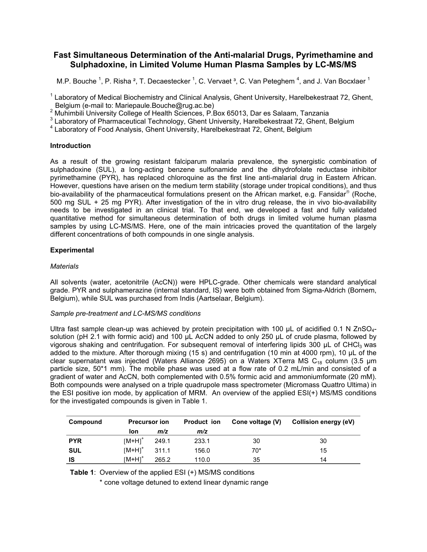# **Fast Simultaneous Determination of the Anti-malarial Drugs, Pyrimethamine and Sulphadoxine, in Limited Volume Human Plasma Samples by LC-MS/MS**

M.P. Bouche <sup>1</sup>, P. Risha <sup>2</sup>, T. Decaestecker <sup>1</sup>, C. Vervaet <sup>3</sup>, C. Van Peteghem <sup>4</sup>, and J. Van Bocxlaer <sup>1</sup>

<sup>1</sup> Laboratory of Medical Biochemistry and Clinical Analysis, Ghent University, Harelbekestraat 72, Ghent,

\_Belgium (e-mail to: Mariepaule.Bouche@rug.ac.be)<br><sup>2</sup> Muhimbili University College of Health Sciences, P.Box 65013, Dar es Salaam, Tanzania

<sup>3</sup> Laboratory of Pharmaceutical Technology, Ghent University, Harelbekestraat 72, Ghent, Belgium<br><sup>4</sup> Laboratory of Feed Anglysia, Chent University, Harelbekestraat 72, Chent, Belgium

Laboratory of Food Analysis, Ghent University, Harelbekestraat 72, Ghent, Belgium

## **Introduction**

As a result of the growing resistant falciparum malaria prevalence, the synergistic combination of sulphadoxine (SUL), a long-acting benzene sulfonamide and the dihydrofolate reductase inhibitor pyrimethamine (PYR), has replaced chloroquine as the first line anti-malarial drug in Eastern African. However, questions have arisen on the medium term stability (storage under tropical conditions), and thus bio-availability of the pharmaceutical formulations present on the African market, e.g. Fansidar<sup>®</sup> (Roche, 500 mg SUL + 25 mg PYR). After investigation of the in vitro drug release, the in vivo bio-availability needs to be investigated in an clinical trial. To that end, we developed a fast and fully validated quantitative method for simultaneous determination of both drugs in limited volume human plasma samples by using LC-MS/MS. Here, one of the main intricacies proved the quantitation of the largely different concentrations of both compounds in one single analysis.

# **Experimental**

# *Materials*

All solvents (water, acetonitrile (AcCN)) were HPLC-grade. Other chemicals were standard analytical grade. PYR and sulphamerazine (internal standard, IS) were both obtained from Sigma-Aldrich (Bornem, Belgium), while SUL was purchased from Indis (Aartselaar, Belgium).

# *Sample pre-treatment and LC-MS/MS conditions*

Ultra fast sample clean-up was achieved by protein precipitation with 100  $\mu$ L of acidified 0.1 N ZnSO<sub>4</sub>solution (pH 2.1 with formic acid) and 100 µL AcCN added to only 250 µL of crude plasma, followed by vigorous shaking and centrifugation. For subsequent removal of interfering lipids 300 µL of CHCl<sub>3</sub> was added to the mixture. After thorough mixing (15 s) and centrifugation (10 min at 4000 rpm), 10 µL of the clear supernatant was injected (Waters Alliance 2695) on a Waters XTerra MS C<sub>18</sub> column (3.5 µm particle size, 50\*1 mm). The mobile phase was used at a flow rate of 0.2 mL/min and consisted of a gradient of water and AcCN, both complemented with 0.5% formic acid and ammoniumformate (20 mM). Both compounds were analysed on a triple quadrupole mass spectrometer (Micromass Quattro Ultima) in the ESI positive ion mode, by application of MRM. An overview of the applied ESI(+) MS/MS conditions for the investigated compounds is given in Table 1.

| Compound   | <b>Precursor ion</b> |       | <b>Product ion</b> | Cone voltage (V) | Collision energy (eV) |  |
|------------|----------------------|-------|--------------------|------------------|-----------------------|--|
|            | lon                  | m/z   | m/z                |                  |                       |  |
| <b>PYR</b> | $[M+H]$ <sup>+</sup> | 249.1 | 233.1              | 30               | 30                    |  |
| <b>SUL</b> | $[M+H]$ <sup>+</sup> | 311.1 | 156.0              | 70*              | 15                    |  |
| IS         | $IM+HI^+$            | 265.2 | 110.0              | 35               | 14                    |  |

**Table 1**: Overview of the applied ESI (+) MS/MS conditions

\* cone voltage detuned to extend linear dynamic range